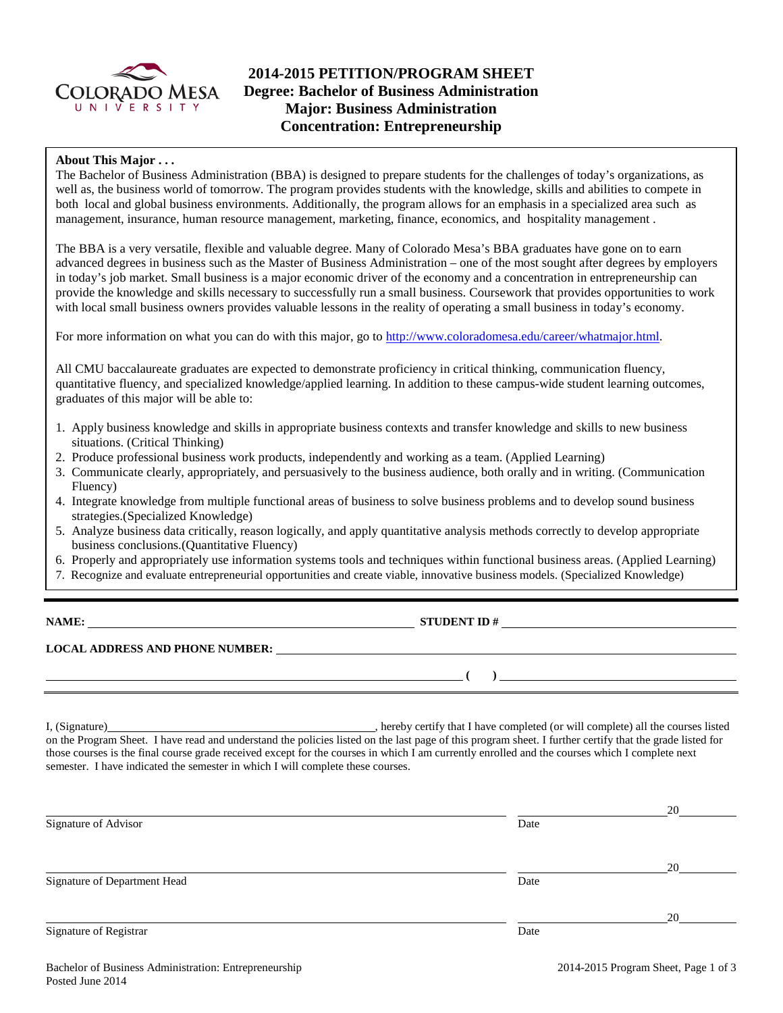

# **2014-2015 PETITION/PROGRAM SHEET Degree: Bachelor of Business Administration Major: Business Administration Concentration: Entrepreneurship**

## **About This Major . . .**

The Bachelor of Business Administration (BBA) is designed to prepare students for the challenges of today's organizations, as well as, the business world of tomorrow. The program provides students with the knowledge, skills and abilities to compete in both local and global business environments. Additionally, the program allows for an emphasis in a specialized area such as management, insurance, human resource management, marketing, finance, economics, and hospitality management .

The BBA is a very versatile, flexible and valuable degree. Many of Colorado Mesa's BBA graduates have gone on to earn advanced degrees in business such as the Master of Business Administration – one of the most sought after degrees by employers in today's job market. Small business is a major economic driver of the economy and a concentration in entrepreneurship can provide the knowledge and skills necessary to successfully run a small business. Coursework that provides opportunities to work with local small business owners provides valuable lessons in the reality of operating a small business in today's economy.

For more information on what you can do with this major, go to [http://www.coloradomesa.edu/career/whatmajor.html.](http://www.coloradomesa.edu/career/whatmajor.html)

All CMU baccalaureate graduates are expected to demonstrate proficiency in critical thinking, communication fluency, quantitative fluency, and specialized knowledge/applied learning. In addition to these campus-wide student learning outcomes, graduates of this major will be able to:

- 1. Apply business knowledge and skills in appropriate business contexts and transfer knowledge and skills to new business situations. (Critical Thinking)
- 2. Produce professional business work products, independently and working as a team. (Applied Learning)
- 3. Communicate clearly, appropriately, and persuasively to the business audience, both orally and in writing. (Communication Fluency)
- 4. Integrate knowledge from multiple functional areas of business to solve business problems and to develop sound business strategies.(Specialized Knowledge)
- 5. Analyze business data critically, reason logically, and apply quantitative analysis methods correctly to develop appropriate business conclusions.(Quantitative Fluency)
- 6. Properly and appropriately use information systems tools and techniques within functional business areas. (Applied Learning)
- 7. Recognize and evaluate entrepreneurial opportunities and create viable, innovative business models. (Specialized Knowledge)

**NAME: STUDENT ID #** 

**( )** 

**LOCAL ADDRESS AND PHONE NUMBER:**

I, (Signature) , hereby certify that I have completed (or will complete) all the courses listed on the Program Sheet. I have read and understand the policies listed on the last page of this program sheet. I further certify that the grade listed for those courses is the final course grade received except for the courses in which I am currently enrolled and the courses which I complete next semester. I have indicated the semester in which I will complete these courses.

|                              |      | 20 |
|------------------------------|------|----|
| Signature of Advisor         | Date |    |
|                              |      | 20 |
| Signature of Department Head | Date |    |
|                              |      | 20 |
| Signature of Registrar       | Date |    |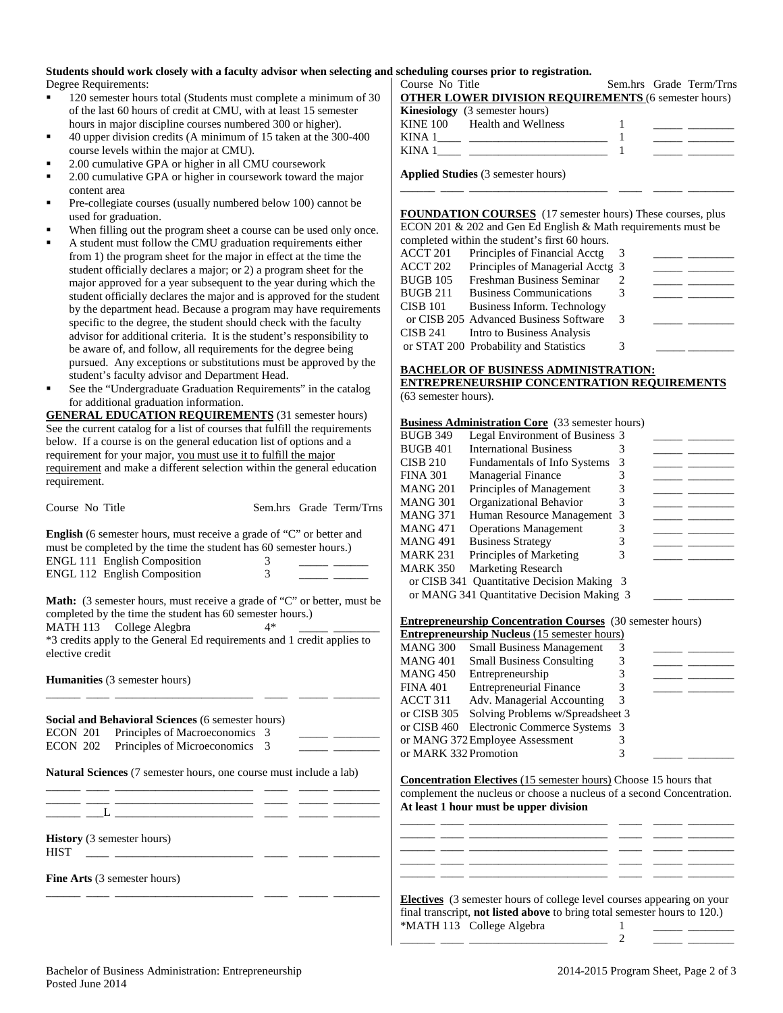# **Students should work closely with a faculty advisor when selecting and scheduling courses prior to registration.**<br>
Degree Requirements: <br>
Course No Title

Degree Requirements:

- **120** semester hours total (Students must complete a minimum of 30 of the last 60 hours of credit at CMU, with at least 15 semester hours in major discipline courses numbered 300 or higher).
- 40 upper division credits (A minimum of 15 taken at the 300-400 course levels within the major at CMU).
- 2.00 cumulative GPA or higher in all CMU coursework
- 2.00 cumulative GPA or higher in coursework toward the major content area
- Pre-collegiate courses (usually numbered below 100) cannot be used for graduation.
- When filling out the program sheet a course can be used only once.
- A student must follow the CMU graduation requirements either from 1) the program sheet for the major in effect at the time the student officially declares a major; or 2) a program sheet for the major approved for a year subsequent to the year during which the student officially declares the major and is approved for the student by the department head. Because a program may have requirements specific to the degree, the student should check with the faculty advisor for additional criteria. It is the student's responsibility to be aware of, and follow, all requirements for the degree being pursued. Any exceptions or substitutions must be approved by the student's faculty advisor and Department Head.
- See the "Undergraduate Graduation Requirements" in the catalog for additional graduation information.

**GENERAL EDUCATION REQUIREMENTS** (31 semester hours) See the current catalog for a list of courses that fulfill the requirements below. If a course is on the general education list of options and a requirement for your major, you must use it to fulfill the major requirement and make a different selection within the general education requirement.

Course No Title Sem.hrs Grade Term/Trns

**English** (6 semester hours, must receive a grade of "C" or better and must be completed by the time the student has 60 semester hours.) ENGL 111 English Composition 3 ENGL 112 English Composition 3

**Math:** (3 semester hours, must receive a grade of "C" or better, must be completed by the time the student has 60 semester hours.)<br>MATH 113 College Alegbra  $4*$ 

MATH 113 College Alegbra

\*3 credits apply to the General Ed requirements and 1 credit applies to elective credit

\_\_\_\_\_\_ \_\_\_\_ \_\_\_\_\_\_\_\_\_\_\_\_\_\_\_\_\_\_\_\_\_\_\_\_ \_\_\_\_ \_\_\_\_\_ \_\_\_\_\_\_\_\_

**Humanities** (3 semester hours)

|  | <b>Social and Behavioral Sciences</b> (6 semester hours)<br>ECON 201 Principles of Macroeconomics 3 |  |  |
|--|-----------------------------------------------------------------------------------------------------|--|--|
|  | ECON 202 Principles of Microeconomics 3                                                             |  |  |
|  | <b>Natural Sciences</b> (7 semester hours, one course must include a lab)                           |  |  |
|  |                                                                                                     |  |  |
|  | <b>History</b> (3 semester hours)                                                                   |  |  |

\_\_\_\_\_\_ \_\_\_\_ \_\_\_\_\_\_\_\_\_\_\_\_\_\_\_\_\_\_\_\_\_\_\_\_ \_\_\_\_ \_\_\_\_\_ \_\_\_\_\_\_\_\_

**Fine Arts** (3 semester hours)

Sem.hrs Grade Term/Trns **OTHER LOWER DIVISION REQUIREMENTS** (6 semester hours) **Kinesiology** (3 semester hours) KINE 100 Health and Wellness 1 \_\_\_\_\_ \_\_\_\_\_\_\_\_ KINA 1\_\_\_\_ \_\_\_\_\_\_\_\_\_\_\_\_\_\_\_\_\_\_\_\_\_\_\_\_ 1 \_\_\_\_\_ \_\_\_\_\_\_\_\_ KINA  $1 \qquad \qquad$   $\qquad \qquad$   $\qquad \qquad$   $\qquad \qquad$   $\qquad \qquad$   $\qquad \qquad$   $\qquad \qquad$   $\qquad \qquad$   $\qquad \qquad$   $\qquad \qquad$   $\qquad \qquad$   $\qquad \qquad$   $\qquad \qquad$   $\qquad \qquad$   $\qquad \qquad$   $\qquad \qquad$   $\qquad \qquad$   $\qquad \qquad$   $\qquad \qquad$   $\qquad \qquad$   $\qquad \qquad$   $\qquad \qquad$   $\qquad \qquad$   $\qquad \qquad$ 

**Applied Studies** (3 semester hours)

**FOUNDATION COURSES** (17 semester hours) These courses, plus ECON 201 & 202 and Gen Ed English & Math requirements must be completed within the student's first 60 hours.

\_\_\_\_\_\_ \_\_\_\_ \_\_\_\_\_\_\_\_\_\_\_\_\_\_\_\_\_\_\_\_\_\_\_\_ \_\_\_\_ \_\_\_\_\_ \_\_\_\_\_\_\_\_

|          | completed within the student's first by hours. |   |  |
|----------|------------------------------------------------|---|--|
| ACCT 201 | Principles of Financial Acctg                  |   |  |
| ACCT 202 | Principles of Managerial Acctg 3               |   |  |
| BUGB 105 | Freshman Business Seminar                      |   |  |
| BUGB 211 | <b>Business Communications</b>                 | 3 |  |
| CISB 101 | Business Inform. Technology                    |   |  |
|          | or CISB 205 Advanced Business Software         | 3 |  |
| CISB 241 | Intro to Business Analysis                     |   |  |
|          | or STAT 200 Probability and Statistics         | 3 |  |

## **BACHELOR OF BUSINESS ADMINISTRATION:**

#### **ENTREPRENEURSHIP CONCENTRATION REQUIREMENTS** (63 semester hours).

### **Business Administration Core** (33 semester hours)

| <b>BUGB 349</b> | Legal Environment of Business 3            |   |  |
|-----------------|--------------------------------------------|---|--|
| BUGB 401        | <b>International Business</b>              |   |  |
| CISB 210        | <b>Fundamentals of Info Systems</b>        | 3 |  |
| FINA 301        | <b>Managerial Finance</b>                  | 3 |  |
| MANG 201        | Principles of Management                   | 3 |  |
| MANG 301        | Organizational Behavior                    | 3 |  |
| MANG 371        | Human Resource Management 3                |   |  |
| MANG 471        | <b>Operations Management</b>               |   |  |
| MANG 491        | <b>Business Strategy</b>                   |   |  |
| MARK 231        | Principles of Marketing                    | 3 |  |
| MARK 350        | <b>Marketing Research</b>                  |   |  |
|                 | or CISB 341 Quantitative Decision Making 3 |   |  |
|                 | or MANG 341 Quantitative Decision Making 3 |   |  |
|                 |                                            |   |  |

#### **Entrepreneurship Concentration Courses** (30 semester hours)

| <b>Entrepreneurship Nucleus</b> (15 semester hours) |                                           |   |  |  |
|-----------------------------------------------------|-------------------------------------------|---|--|--|
| <b>MANG 300</b>                                     | <b>Small Business Management</b>          |   |  |  |
| <b>MANG 401</b>                                     | <b>Small Business Consulting</b>          | 3 |  |  |
| <b>MANG 450</b>                                     | Entrepreneurship                          |   |  |  |
| <b>FINA 401</b>                                     | <b>Entrepreneurial Finance</b>            | 3 |  |  |
| ACCT 311                                            | Adv. Managerial Accounting                | 3 |  |  |
| or CISB 305                                         | Solving Problems w/Spreadsheet 3          |   |  |  |
|                                                     | or CISB 460 Electronic Commerce Systems 3 |   |  |  |
| or MANG 372 Employee Assessment                     |                                           |   |  |  |
| or MARK 332 Promotion                               |                                           |   |  |  |

**Concentration Electives** (15 semester hours) Choose 15 hours that complement the nucleus or choose a nucleus of a second Concentration. **At least 1 hour must be upper division**

\_\_\_\_\_\_ \_\_\_\_ \_\_\_\_\_\_\_\_\_\_\_\_\_\_\_\_\_\_\_\_\_\_\_\_ \_\_\_\_ \_\_\_\_\_ \_\_\_\_\_\_\_\_ \_\_\_\_\_\_ \_\_\_\_ \_\_\_\_\_\_\_\_\_\_\_\_\_\_\_\_\_\_\_\_\_\_\_\_ \_\_\_\_ \_\_\_\_\_ \_\_\_\_\_\_\_\_ \_\_\_\_\_\_ \_\_\_\_ \_\_\_\_\_\_\_\_\_\_\_\_\_\_\_\_\_\_\_\_\_\_\_\_ \_\_\_\_ \_\_\_\_\_ \_\_\_\_\_\_\_\_ \_\_\_\_\_\_ \_\_\_\_ \_\_\_\_\_\_\_\_\_\_\_\_\_\_\_\_\_\_\_\_\_\_\_\_ \_\_\_\_ \_\_\_\_\_ \_\_\_\_\_\_\_\_ \_\_\_\_\_\_ \_\_\_\_ \_\_\_\_\_\_\_\_\_\_\_\_\_\_\_\_\_\_\_\_\_\_\_\_ \_\_\_\_ \_\_\_\_\_ \_\_\_\_\_\_\_\_

| <b>Electives</b> (3 semester hours of college level courses appearing on your<br>final transcript, <b>not listed above</b> to bring total semester hours to 120.) |  |
|-------------------------------------------------------------------------------------------------------------------------------------------------------------------|--|
| *MATH 113 College Algebra                                                                                                                                         |  |